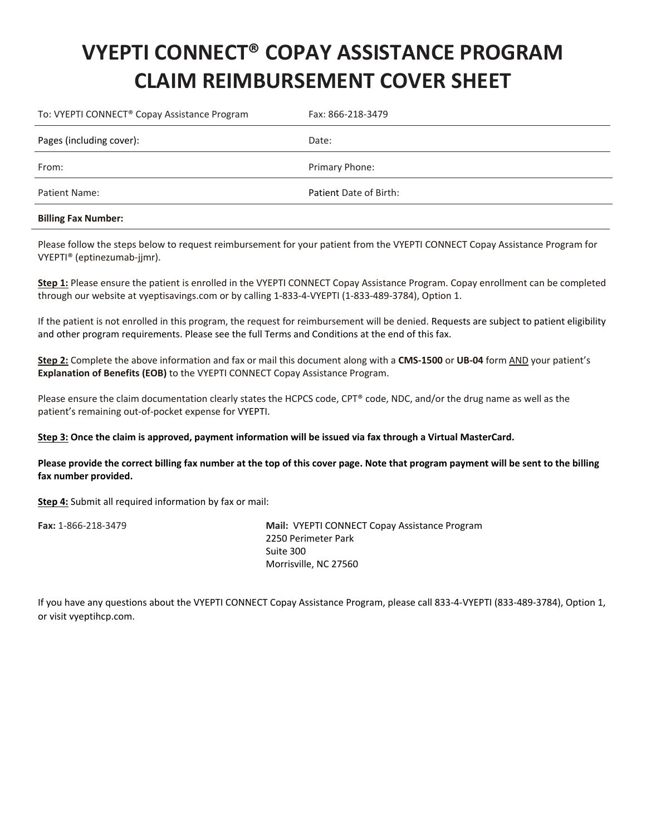## **VYEPTI CONNECT® COPAY ASSISTANCE PROGRAM CLAIM REIMBURSEMENT COVER SHEET**

| To: VYEPTI CONNECT <sup>®</sup> Copay Assistance Program | Fax: 866-218-3479      |
|----------------------------------------------------------|------------------------|
| Pages (including cover):                                 | Date:                  |
| From:                                                    | Primary Phone:         |
| Patient Name:                                            | Patient Date of Birth: |
|                                                          |                        |

## **Billing Fax Number:**

Please follow the steps below to request reimbursement for your patient from the VYEPTI CONNECT Copay Assistance Program for VYEPTI® (eptinezumab-jjmr).

**Step 1:** Please ensure the patient is enrolled in the VYEPTI CONNECT Copay Assistance Program. Copay enrollment can be completed through our website at vyeptisavings.com or by calling 1-833-4-VYEPTI (1-833-489-3784), Option 1.

If the patient is not enrolled in this program, the request for reimbursement will be denied. Requests are subject to patient eligibility and other program requirements. Please see the full Terms and Conditions at the end of this fax.

**Step 2:** Complete the above information and fax or mail this document along with a **CMS-1500** or **UB-04** form AND your patient's **Explanation of Benefits (EOB)** to the VYEPTI CONNECT Copay Assistance Program.

Please ensure the claim documentation clearly states the HCPCS code, CPT® code, NDC, and/or the drug name as well as the patient's remaining out-of-pocket expense for VYEPTI.

## **Step 3: Once the claim is approved, payment information will be issued via fax through a Virtual MasterCard.**

**Please provide the correct billing fax number at the top of this cover page. Note that program payment will be sent to the billing fax number provided.**

**Step 4:** Submit all required information by fax or mail:

**Fax:** 1-866-218-3479 **Mail:** VYEPTI CONNECT Copay Assistance Program 2250 Perimeter Park Suite 300 Morrisville, NC 27560

If you have any questions about the VYEPTI CONNECT Copay Assistance Program, please call 833-4-VYEPTI (833-489-3784), Option 1, or visit vyeptihcp.com.